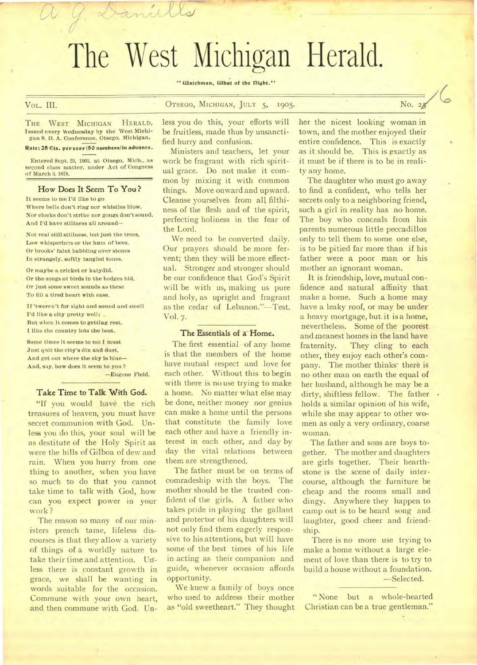# The West Michigan Herald.

mills

" Watchman, What of the Dight."

# VoL. **III.** OTSEGO, MICHIGAN, JULY 5, 1905. No. <sup>2</sup>

THE WEST MICHIGAN HERALD. Issued every Wednesday by the West Michigan S. 1). A. Conference. Otsego, Michigan. VOL. III.<br>THE WEST MICHIGAN HERALD.<br>Issued every Wednesday by the West Michigan.<br>Eate: 25 Cts. per year (50 numbers)in advance.<br>Entered Sept. 23, 1903, at Otsego, Mich., as THE WEST MICHIGAN HERALD.<br>Issued every Wednesday by the West Michigan S. D. A. Conference, Otsego. Michigan.<br>Rate: 25 Cts. per year (50 numbers) in advance.<br>Entered Sept. 23, 1903. at Otsego. Mich., as<br>second class matter,

of March 3, 1878.

#### **How Does It Seem To You ?**

It seems to me I'd like to go Where bells don't *ring* nor whistles blow, Nor clocks don't strike nor gongs don't sound, And I'd have stillness all around—

Not real still stillness, but Just the trees, Low whisperings or the hum of bees, Or brooks' faint babbling over stones In strangely, softly tangled tones.

Or maybe a cricket or katydid. Or the songs of birds in the hedges hid, Or Just some sweet sounds as these To fill a tired heart with ease.

If 'tweren't for sight and sound and smell I'd like a city pretty well; But when it comes to getting rest, I like the country lots the best.

Some times it seems to me I must Just quit the city's din and dust, And get out where the sky is blue— And, say, how dues it seem to you ?

—Eugene Field.

#### Take Time to Talk With God.

"If you would have the rich treasures of heaven, you must have secret communion with God. Unless you do this, your soul will be as destitute of the Holy Spirit as were the hills of Gilboa of dew and rain. When you hurry from one thing to another, when you have so much to do that you cannot take time to talk with God, how can you expect power in your work ?

The reason so many of our ministers preach tame, lifeless discourses is that they allow a variety of things of a worldly nature to take their time and attention. Uriless there is constant growth in grace, we shall be wanting in words suitable for the occasion. Commune with your own heart, and then commune with God. Un-

less you do this, your efforts will be fruitless, made thus by unsanctified hurry and confusion.

Ministers and teachers, let your work be fragrant with rich spiritual grace. Do not make it common by mixing it with common things. Move onward and upward. Cleanse yourselves from all filthiness of the flesh and of the spirit, perfecting holiness in the fear of the Lord.

We need to be converted daily. Our prayers should be more fervent; then they will be more effectual. Stronger and stronger should be our confidence that God's Spirit will be with us, making us pure and holy, as upright and fragrant as the cedar of Lebanon."-Test. Vol. 7.

#### The Essentials of a Home.

The first essential of any home is that the members of the home have mutual respect and love for each other. Without this to begin with there is no use trying to make a home. No matter what else may be done, neither money nor genius can make a home until the persons that constitute the family love each other and have a friendly interest in each other, and day by day the vital relations between them are strengthened.

The father must be on terms of comradeship with the boys. The mother should be the trusted confident of the girls. A father who takes pride in playing the gallant and protector of his daughters will not only find them eagerly responsive to his attentions, but will have some of the best times of his life in acting as their companion and guide, whenever occasion affords opportunity.

We knew a family of boys once who used to address their mother as "old sweetheart." They thought

her the nicest looking woman in town, and the mother enjoyed their entire confidence. This is exactly as it should be. This is exactly as it must be if there is to be in reality any home.

The daughter who must go away to find a confident, who tells her secrets only to a neighboring friend, such a girl in reality has no home. The boy who conceals from his parents numerous little peccadillos only to tell them to some one else, is to be pitied far more than if his father were a poor man or his mother an ignorant woman.

It is friendship, love, mutual confidence and natural affinity that make a home. Such a home may have a leaky roof, or may be under a heavy mortgage, but. it is a home, nevertheless. Some of the poorest and meanest homes in the land have fraternity. They cling to each other, they enjoy each other's company. The mother thinks' there is no other man on earth the equal of her husband, although he may be a dirty, shiftless fellow. The father . holds a similar opinion of his wife, while she may appear to other women as only a very ordinary, coarse woman.

The father and sons are boys together. The mother and daughters are girls together. Their hearthstone is the scene of daily intercourse, although the furniture be cheap and the rooms small and dingy. Anywhere they happen to camp out is to be heard song and laughter, good cheer and friendship.

There is no more use trying to make a home without a large element of love than there is to try to build a house without a foundation. -Selected.

" None but a whole-hearted Christian can be a true gentleman."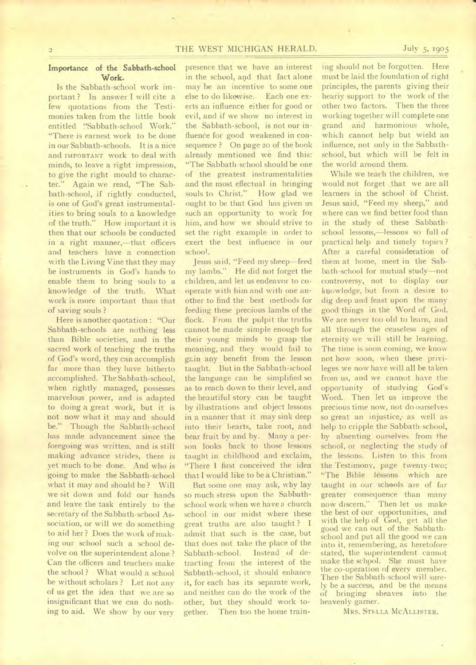# THE WEST MICHIGAN HERALD. July 5, 1905

# Importance of the Sabbath-school Work.

 $\overline{2}$ 

Is the Sabbath-school work important? In answer I will cite a few quotations from the Testimonies taken from the little book entitled "Sabbath-school Work." "There is earnest work to be done" in our Sabbath-schools. It is a nice and IMPORTANT work to deal with minds, to leave a right impression, to give the right mould to character." Again we read, "The Sabbath-school, if rightly conducted, is one of God's great instrumentalities to bring souls to a knowledge of the truth." How important it is then that our schools be conducted in a right manner,—that officers and teachers have a connection with the Living Vine that they may be instruments in God's hands to enable them to bring souls to a knowledge of the truth. What work is more important than that of saving souls ?

Here is another quotation : "Our Sabbath-schools are nothing less than Bible societies, and in the sacred work of teaching the truths of God's word, they can accomplish far more than they have hitherto accomplished. The Sabbath-school, when rightly managed, possesses marvelous power, and is adapted to doing a great work, but it is not now what it may and should be." Though the Sabbath-school has made advancement since the foregoing was written, and is still making advance strides, there is yet much to be done. And who is going to make the Sabbath-school what it may and should be ? Will we sit down and fold our hands and leave the task entirely to the secretary of the Sabbath-school Association, or will we do something to aid her ? Does the work of making our school such a school devolve on the superintendent alone ? Can the officers and teachers make the school ? What would a school be without scholars? Let not any of us get the idea that we are so insignificant that we can do nothing to aid. We show by our very

presence that we have an interest in the school, and that fact alone may be an incentive to some one else to do likewise. Each one exerts an influence either for good or evil, and if we show no interest in the Sabbath-school, is not our influence for good weakened in consequence ? On page zo of the book already mentioned we find this: "The Sabbath-school should be one of the greatest instrumentalities and the most effectual in bringing souls to Christ." How glad we ought to be that God has given us such an opportunity to work for him, and how we should strive to set the right example in order to exert the best influence in our school.

Jesus said, "Feed my sheep—feed my lambs." He did not forget the children, and let us endeavor to cooperate with him and with one another to find the best methods for feeding these precious lambs of the flock. From the pulpit the truths cannot be made simple enough for their young minds to grasp the meaning, and they would fail to gain any benefit from the lesson taught. But in the Sabbath-school the language can be simplified so as to reach down to their level, and the beautiful story can be taught by illustrations and object lessons in a manner that it may sink deep into their hearts, take root, and bear fruit by and by. Many a person looks back to those lessons taught in childhood and exclaim, "There I first conceived the idea that I would like to be a Christian."

But some one may ask, why lay so much stress upon the Sabbathschool work when we have *a* church school in our midst where these great truths are also taught ? I admit that such is the case, but that does not take the place of the Sabbath-school. Instead of detracting from the interest of the Sabbath-school, it should enhance it, for each has its separate work, and neither can do the work of the other, but they should work together. Then too the home training should not be forgotten. Here must be laid the foundation of right principles, the parents giving their heariy support to the work of the other two factors. Then the three working together will complete one grand and harmonious whole, which cannot help but wield an influence, not only in the Sabbathschool, but which will be felt in the world-around them.

While we teach the children, we would not forget that we are all learners in the school of Christ. Jesus said, "Feed my sheep," and where can we find better food than in the study of these Sabbathschool lessons,—lessons so full of practical help and timely topics ? After a careful consideration of them at home, meet in the Sabbath-school for mutual study—not controversy, not to display our knowledge, but from a desire to dig deep and feast upon the many good things in the Word of God. We are never too old to learn, and all through the ceaseless ages of eternity we will still be learning. The time is soon coming, we know not how soon, when these privileges we now have will all be taken from us, and we cannot have the opportunity of studying God's Word. Then let us improve the precious time now, not do ourselves so great an injustice, as well as help to cripple the Sabbath-school, by absenting ourselves from the school, or neglecting the study of the lessons. Listen to this from the Testimony, page twenty-two; "The Bible lessons which are taught in our schools 'are of far greater consequence than many now discern." Then let us make the best of our opportunities, and with the help of God, get all the good we can out of the Sabbathschool and put all the good we can into it, remembering, as heretofore stated, the superintendent cannot make the school. She must have the co-operation of every member. Then the Sabbath-school will surely be a success, and be the means of bringing sheaves into the heavenly garner.

MRS. STELLA MCALLISTER.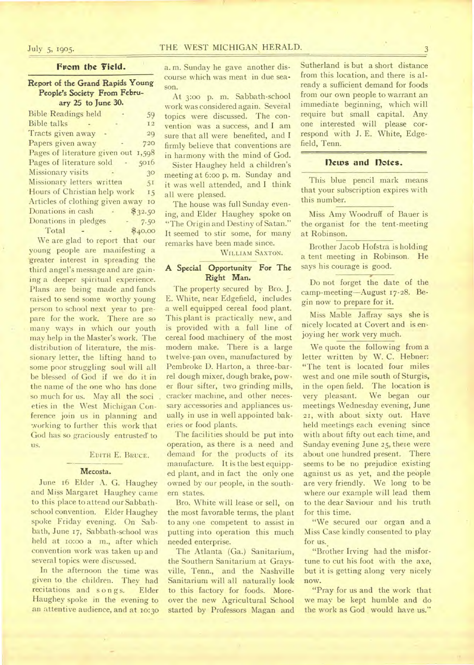# July 5, 1905. THE WEST MICHIGAN HERALD. 3

# From the Field.

### Report of the Grand Rapids Young People's Society From February 25 to June 30.

| <b>Bible Readings held</b>          | 59      |
|-------------------------------------|---------|
| <b>Bible</b> talks                  | 12      |
| Tracts given away                   | 29      |
| Papers given away                   | 720     |
| Pages of literature given out 1,598 |         |
| Pages of literature sold<br>$\sim$  | 5016    |
| Missionary visits                   | 30      |
| Missionary letters written          | 5I      |
| Hours of Christian help work        | 15      |
| Articles of clothing given away     | IO      |
| Donations in cash                   | \$32.50 |
| Donations in pledges                | 7.50    |
| Total                               | \$40.00 |
|                                     |         |

We are glad to report that our young people are manifesting a 'greater interest in spreading the third angel's message and are gaining a deeper spiritual experience. Plans are being made and funds raised to send some worthy young person to school next year to prepare for the work. There are so many ways in which our youth may help in the Master's work. The distribution of literature, the missionary letter, the lifting hand to some poor struggling soul will all be blessed of God if we do it in the name of the one who has done so much for us. May all the soci eties in the West Michigan Conference join us in planning and working to further this work that God has so graciously entrusted to us.

#### EDITH E. BRUCE.

#### Mecosta.

June **16** Elder A. G. Haughey and Miss Margaret Haughey came to this place to attend our Sabbathschool convention. Elder Haughey spoke Friday evening. On Sabbath, June 17, Sabbath-school was held at io:oo a m., after which convention work was taken up and several topics were discussed.

In the afternoon the time was given to the children. They had recitations and songs. Elder Haughey spoke in the evening **to an** attentive audience, and at to:3o a. m. Sunday he gave another discourse which was meat in due season.

At 3:0o p. m. Sabbath-school work was considered again. Several topics were discussed. The convention was a success, and I am sure that all were benefited, and I firmly believe that conventions are in harmony with the mind of God.

Sister Haughey held a children's meeting at 6:0o p. m. Sunday and it was well attended, and I think all were pleased.

The house was full Sunday evening, and Elder Haughey spoke on "The Origin and Destiny of Satan." It seemed to stir some, for many remarks have been made since.

WILLIAM SAXTON.

# **A Special Opportunity For The**  Right **Man.**

The property secured by Bro. **J.**  E. White, near Edgefield, includes a well equipped cereal food plant. This plant is practically new, and is provided with a full line of cereal food machinery of the most modern make. There is a large twelve-pan oven, manufactured by Pembroke D. Harton, a three-barrel dough mixer, dough brake, power flour sifter, two grinding mills, cracker machine, and other necessary accessories and appliances usually in use in well appointed bakeries or food plants.

The facilities should be put into operation, as there is a need and demand for the products of its manufacture. It is the best equipped plant, and in fact the only one owned by our people, in the southern states.

Bro. White will lease or sell, on the most favorable terms, the plant to any one competent to assist in putting into operation this much needed enterprise.

The Atlanta (Ga.) Sanitarium, the Southern Sanitarium at Graysville, Tenn., and the Nashville Sanitarium will all naturally look to this factory for foods. Moreover the new Agricultural School started by Professors Magan and

Sutherland is but a short distance from this location, and there is already a sufficient demand for foods from our own people to warrant an immediate beginning, which will require but small capital. Any one interested will please correspond with J. E. White, Edgefield, Tenn.

# **flews and notes.**

This blue pencil mark means that your subscription expires with this number.

Miss Amy Woodruff of Bauer is the organist for the tent-meeting at Robinson.

Brother Jacob Hofstra is holding a tent meeting in Robinson. He says his courage is good.

Do not forget the date of the camp-meeting--August 17-28. Begin now to prepare for it.

Miss Mable Jaffray says she is nicely located at Covert and is enjoying her work very much.

We quote the following from a letter written by W. C. Hebner: "The tent is located four miles west and one mile south of Sturgis, in the open field. The location is very pleasant. We began our meetings Wednesday evening, June 21, with about sixty out. Have held meetings each evening since with about fifty out each time, and Sunday evening June 25, there were about one hundred present. There seems to be no prejudice existing against us as yet, and the people are very friendly. We long to be where our example will lead them to the dear Saviour and his truth for this time.

"We secured our organ and a Miss Case kindly consented to play for us.

"Brother Irving had the misfortune to cut his foot with the axe, but it is getting along very nicely now.

"Pray for us and the work that we may be kept humble and do the work as God would have us."